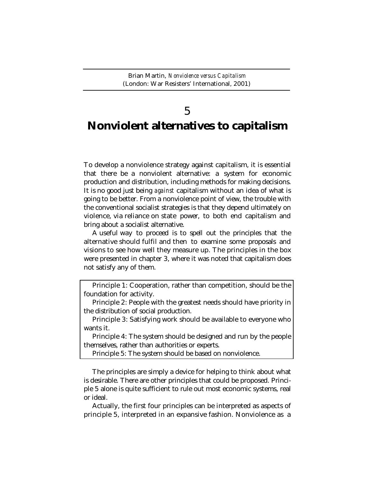# 5 **Nonviolent alternatives to capitalism**

To develop a nonviolence strategy against capitalism, it is essential that there be a nonviolent alternative: a system for economic production and distribution, including methods for making decisions. It is no good just being *against* capitalism without an idea of what is going to be better. From a nonviolence point of view, the trouble with the conventional socialist strategies is that they depend ultimately on violence, via reliance on state power, to both end capitalism and bring about a socialist alternative.

A useful way to proceed is to spell out the principles that the alternative should fulfil and then to examine some proposals and visions to see how well they measure up. The principles in the box were presented in chapter 3, where it was noted that capitalism does not satisfy any of them.

Principle 1: Cooperation, rather than competition, should be the foundation for activity.

Principle 2: People with the greatest needs should have priority in the distribution of social production.

Principle 3: Satisfying work should be available to everyone who wants it.

Principle 4: The system should be designed and run by the people themselves, rather than authorities or experts.

Principle 5: The system should be based on nonviolence.

The principles are simply a device for helping to think about what is desirable. There are other principles that could be proposed. Principle 5 alone is quite sufficient to rule out most economic systems, real or ideal.

Actually, the first four principles can be interpreted as aspects of principle 5, interpreted in an expansive fashion. Nonviolence as a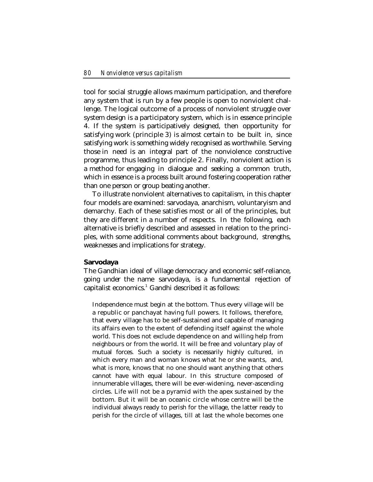tool for social struggle allows maximum participation, and therefore any system that is run by a few people is open to nonviolent challenge. The logical outcome of a process of nonviolent struggle over system design is a participatory system, which is in essence principle 4. If the system is participatively designed, then opportunity for satisfying work (principle 3) is almost certain to be built in, since satisfying work is something widely recognised as worthwhile. Serving those in need is an integral part of the nonviolence constructive programme, thus leading to principle 2. Finally, nonviolent action is a method for engaging in dialogue and seeking a common truth, which in essence is a process built around fostering cooperation rather than one person or group beating another.

To illustrate nonviolent alternatives to capitalism, in this chapter four models are examined: sarvodaya, anarchism, voluntaryism and demarchy. Each of these satisfies most or all of the principles, but they are different in a number of respects. In the following, each alternative is briefly described and assessed in relation to the principles, with some additional comments about background, strengths, weaknesses and implications for strategy.

## **Sarvodaya**

The Gandhian ideal of village democracy and economic self-reliance, going under the name sarvodaya, is a fundamental rejection of capitalist economics.<sup>1</sup> Gandhi described it as follows:

Independence must begin at the bottom. Thus every village will be a republic or panchayat having full powers. It follows, therefore, that every village has to be self-sustained and capable of managing its affairs even to the extent of defending itself against the whole world. This does not exclude dependence on and willing help from neighbours or from the world. It will be free and voluntary play of mutual forces. Such a society is necessarily highly cultured, in which every man and woman knows what he or she wants, and, what is more, knows that no one should want anything that others cannot have with equal labour. In this structure composed of innumerable villages, there will be ever-widening, never-ascending circles. Life will not be a pyramid with the apex sustained by the bottom. But it will be an oceanic circle whose centre will be the individual always ready to perish for the village, the latter ready to perish for the circle of villages, till at last the whole becomes one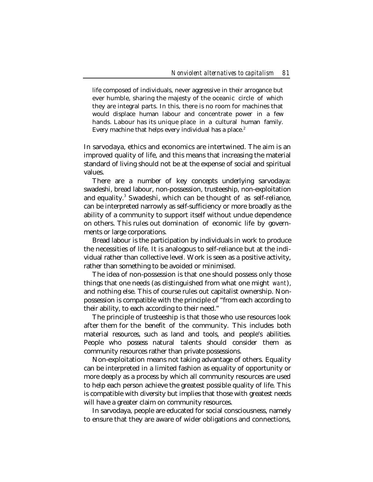life composed of individuals, never aggressive in their arrogance but ever humble, sharing the majesty of the oceanic circle of which they are integral parts. In this, there is no room for machines that would displace human labour and concentrate power in a few hands. Labour has its unique place in a cultural human family. Every machine that helps every individual has a place.<sup>2</sup>

In sarvodaya, ethics and economics are intertwined. The aim is an improved quality of life, and this means that increasing the material standard of living should not be at the expense of social and spiritual values.

There are a number of key concepts underlying sarvodaya: swadeshi, bread labour, non-possession, trusteeship, non-exploitation and equality.<sup>3</sup> Swadeshi, which can be thought of as self-reliance, can be interpreted narrowly as self-sufficiency or more broadly as the ability of a community to support itself without undue dependence on others. This rules out domination of economic life by governments or large corporations.

Bread labour is the participation by individuals in work to produce the necessities of life. It is analogous to self-reliance but at the individual rather than collective level. Work is seen as a positive activity, rather than something to be avoided or minimised.

The idea of non-possession is that one should possess only those things that one needs (as distinguished from what one might *want*), and nothing else. This of course rules out capitalist ownership. Nonpossession is compatible with the principle of "from each according to their ability, to each according to their need."

The principle of trusteeship is that those who use resources look after them for the benefit of the community. This includes both material resources, such as land and tools, and people's abilities. People who possess natural talents should consider them as community resources rather than private possessions.

Non-exploitation means not taking advantage of others. Equality can be interpreted in a limited fashion as equality of opportunity or more deeply as a process by which all community resources are used to help each person achieve the greatest possible quality of life. This is compatible with diversity but implies that those with greatest needs will have a greater claim on community resources.

In sarvodaya, people are educated for social consciousness, namely to ensure that they are aware of wider obligations and connections,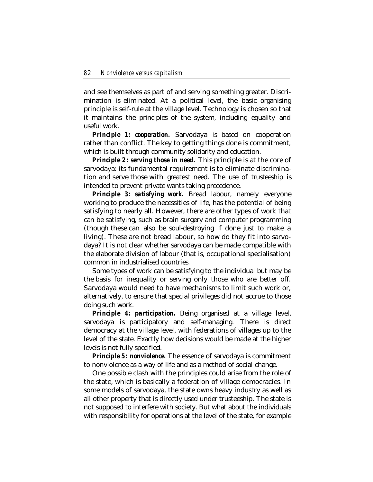and see themselves as part of and serving something greater. Discrimination is eliminated. At a political level, the basic organising principle is self-rule at the village level. Technology is chosen so that it maintains the principles of the system, including equality and useful work.

*Principle 1: cooperation.* Sarvodaya is based on cooperation rather than conflict. The key to getting things done is commitment, which is built through community solidarity and education.

*Principle 2: serving those in need.* This principle is at the core of sarvodaya: its fundamental requirement is to eliminate discrimination and serve those with greatest need. The use of trusteeship is intended to prevent private wants taking precedence.

*Principle 3: satisfying work.* Bread labour, namely everyone working to produce the necessities of life, has the potential of being satisfying to nearly all. However, there are other types of work that can be satisfying, such as brain surgery and computer programming (though these can also be soul-destroying if done just to make a living). These are not bread labour, so how do they fit into sarvodaya? It is not clear whether sarvodaya can be made compatible with the elaborate division of labour (that is, occupational specialisation) common in industrialised countries.

Some types of work can be satisfying to the individual but may be the basis for inequality or serving only those who are better off. Sarvodaya would need to have mechanisms to limit such work or, alternatively, to ensure that special privileges did not accrue to those doing such work.

*Principle 4: participation.* Being organised at a village level, sarvodaya is participatory and self-managing. There is direct democracy at the village level, with federations of villages up to the level of the state. Exactly how decisions would be made at the higher levels is not fully specified.

*Principle 5: nonviolence.* The essence of sarvodaya is commitment to nonviolence as a way of life and as a method of social change.

One possible clash with the principles could arise from the role of the state, which is basically a federation of village democracies. In some models of sarvodaya, the state owns heavy industry as well as all other property that is directly used under trusteeship. The state is not supposed to interfere with society. But what about the individuals with responsibility for operations at the level of the state, for example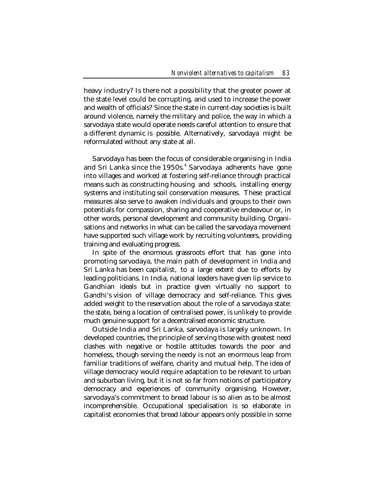heavy industry? Is there not a possibility that the greater power at the state level could be corrupting, and used to increase the power and wealth of officials? Since the state in current-day societies is built around violence, namely the military and police, the way in which a sarvodaya state would operate needs careful attention to ensure that a different dynamic is possible. Alternatively, sarvodaya might be reformulated without any state at all.

Sarvodaya has been the focus of considerable organising in India and Sri Lanka since the 1950s.<sup>4</sup> Sarvodaya adherents have gone into villages and worked at fostering self-reliance through practical means such as constructing housing and schools, installing energy systems and instituting soil conservation measures. These practical measures also serve to awaken individuals and groups to their own potentials for compassion, sharing and cooperative endeavour or, in other words, personal development and community building. Organisations and networks in what can be called the sarvodaya movement have supported such village work by recruiting volunteers, providing training and evaluating progress.

In spite of the enormous grassroots effort that has gone into promoting sarvodaya, the main path of development in India and Sri Lanka has been capitalist, to a large extent due to efforts by leading politicians. In India, national leaders have given lip service to Gandhian ideals but in practice given virtually no support to Gandhi's vision of village democracy and self-reliance. This gives added weight to the reservation about the role of a sarvodaya state: the state, being a location of centralised power, is unlikely to provide much genuine support for a decentralised economic structure.

Outside India and Sri Lanka, sarvodaya is largely unknown. In developed countries, the principle of serving those with greatest need clashes with negative or hostile attitudes towards the poor and homeless, though serving the needy is not an enormous leap from familiar traditions of welfare, charity and mutual help. The idea of village democracy would require adaptation to be relevant to urban and suburban living, but it is not so far from notions of participatory democracy and experiences of community organising. However, sarvodaya's commitment to bread labour is so alien as to be almost incomprehensible. Occupational specialisation is so elaborate in capitalist economies that bread labour appears only possible in some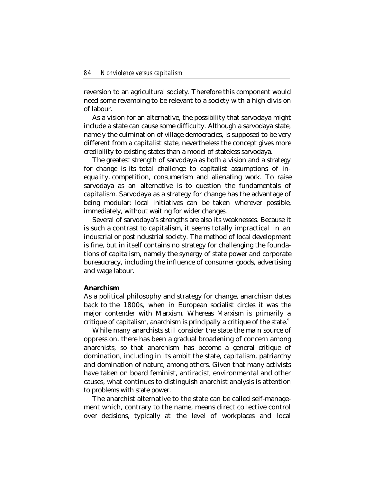reversion to an agricultural society. Therefore this component would need some revamping to be relevant to a society with a high division of labour.

As a vision for an alternative, the possibility that sarvodaya might include a state can cause some difficulty. Although a sarvodaya state, namely the culmination of village democracies, is supposed to be very different from a capitalist state, nevertheless the concept gives more credibility to existing states than a model of stateless sarvodaya.

The greatest strength of sarvodaya as both a vision and a strategy for change is its total challenge to capitalist assumptions of inequality, competition, consumerism and alienating work. To raise sarvodaya as an alternative is to question the fundamentals of capitalism. Sarvodaya as a strategy for change has the advantage of being modular: local initiatives can be taken wherever possible, immediately, without waiting for wider changes.

Several of sarvodaya's strengths are also its weaknesses. Because it is such a contrast to capitalism, it seems totally impractical in an industrial or postindustrial society. The method of local development is fine, but in itself contains no strategy for challenging the foundations of capitalism, namely the synergy of state power and corporate bureaucracy, including the influence of consumer goods, advertising and wage labour.

#### **Anarchism**

As a political philosophy and strategy for change, anarchism dates back to the 1800s, when in European socialist circles it was the major contender with Marxism. Whereas Marxism is primarily a critique of capitalism, anarchism is principally a critique of the state.<sup>5</sup>

While many anarchists still consider the state the main source of oppression, there has been a gradual broadening of concern among anarchists, so that anarchism has become a general critique of domination, including in its ambit the state, capitalism, patriarchy and domination of nature, among others. Given that many activists have taken on board feminist, antiracist, environmental and other causes, what continues to distinguish anarchist analysis is attention to problems with state power.

The anarchist alternative to the state can be called self-management which, contrary to the name, means direct collective control over decisions, typically at the level of workplaces and local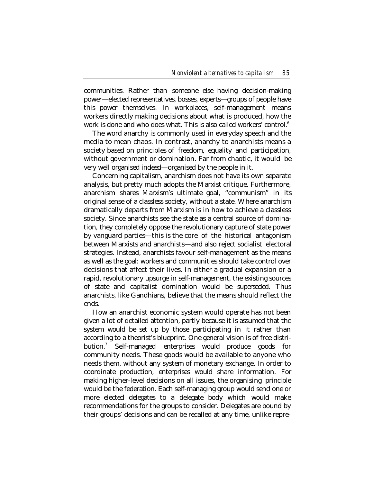communities. Rather than someone else having decision-making power—elected representatives, bosses, experts—groups of people have this power themselves. In workplaces, self-management means workers directly making decisions about what is produced, how the work is done and who does what. This is also called workers' control.<sup>6</sup>

The word anarchy is commonly used in everyday speech and the media to mean chaos. In contrast, anarchy to anarchists means a society based on principles of freedom, equality and participation, without government or domination. Far from chaotic, it would be very well organised indeed—organised by the people in it.

Concerning capitalism, anarchism does not have its own separate analysis, but pretty much adopts the Marxist critique. Furthermore, anarchism shares Marxism's ultimate goal, "communism" in its original sense of a classless society, without a state. Where anarchism dramatically departs from Marxism is in how to achieve a classless society. Since anarchists see the state as a central source of domination, they completely oppose the revolutionary capture of state power by vanguard parties—this is the core of the historical antagonism between Marxists and anarchists—and also reject socialist electoral strategies. Instead, anarchists favour self-management as the means as well as the goal: workers and communities should take control over decisions that affect their lives. In either a gradual expansion or a rapid, revolutionary upsurge in self-management, the existing sources of state and capitalist domination would be superseded. Thus anarchists, like Gandhians, believe that the means should reflect the ends.

How an anarchist economic system would operate has not been given a lot of detailed attention, partly because it is assumed that the system would be set up by those participating in it rather than according to a theorist's blueprint. One general vision is of free distribution.<sup>7</sup> Self-managed enterprises would produce goods for community needs. These goods would be available to anyone who needs them, without any system of monetary exchange. In order to coordinate production, enterprises would share information. For making higher-level decisions on all issues, the organising principle would be the federation. Each self-managing group would send one or more elected delegates to a delegate body which would make recommendations for the groups to consider. Delegates are bound by their groups' decisions and can be recalled at any time, unlike repre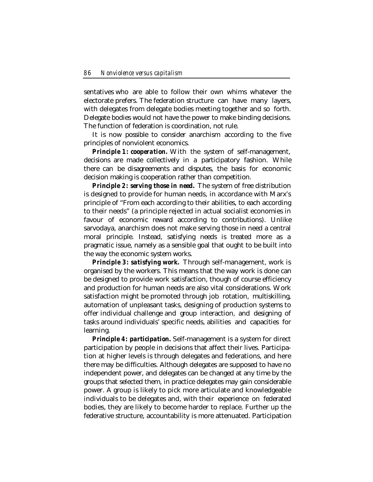sentatives who are able to follow their own whims whatever the electorate prefers. The federation structure can have many layers, with delegates from delegate bodies meeting together and so forth. Delegate bodies would not have the power to make binding decisions. The function of federation is coordination, not rule.

It is now possible to consider anarchism according to the five principles of nonviolent economics.

*Principle 1: cooperation.* With the system of self-management, decisions are made collectively in a participatory fashion. While there can be disagreements and disputes, the basis for economic decision making is cooperation rather than competition.

**Principle 2: serving those in need.** The system of free distribution is designed to provide for human needs, in accordance with Marx's principle of "From each according to their abilities, to each according to their needs" (a principle rejected in actual socialist economies in favour of economic reward according to contributions). Unlike sarvodaya, anarchism does not make serving those in need a central moral principle. Instead, satisfying needs is treated more as a pragmatic issue, namely as a sensible goal that ought to be built into the way the economic system works.

*Principle 3: satisfying work.* Through self-management, work is organised by the workers. This means that the way work is done can be designed to provide work satisfaction, though of course efficiency and production for human needs are also vital considerations. Work satisfaction might be promoted through job rotation, multiskilling, automation of unpleasant tasks, designing of production systems to offer individual challenge and group interaction, and designing of tasks around individuals' specific needs, abilities and capacities for learning.

*Principle 4: participation.* Self-management is a system for direct participation by people in decisions that affect their lives. Participation at higher levels is through delegates and federations, and here there may be difficulties. Although delegates are supposed to have no independent power, and delegates can be changed at any time by the groups that selected them, in practice delegates may gain considerable power. A group is likely to pick more articulate and knowledgeable individuals to be delegates and, with their experience on federated bodies, they are likely to become harder to replace. Further up the federative structure, accountability is more attenuated. Participation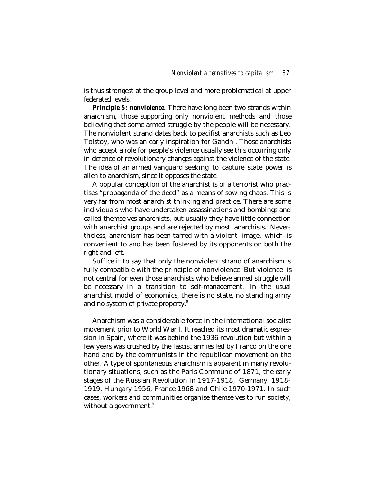is thus strongest at the group level and more problematical at upper federated levels.

*Principle 5: nonviolence.* There have long been two strands within anarchism, those supporting only nonviolent methods and those believing that some armed struggle by the people will be necessary. The nonviolent strand dates back to pacifist anarchists such as Leo Tolstoy, who was an early inspiration for Gandhi. Those anarchists who accept a role for people's violence usually see this occurring only in defence of revolutionary changes against the violence of the state. The idea of an armed vanguard seeking to capture state power is alien to anarchism, since it opposes the state.

A popular conception of the anarchist is of a terrorist who practises "propaganda of the deed" as a means of sowing chaos. This is very far from most anarchist thinking and practice. There are some individuals who have undertaken assassinations and bombings and called themselves anarchists, but usually they have little connection with anarchist groups and are rejected by most anarchists. Nevertheless, anarchism has been tarred with a violent image, which is convenient to and has been fostered by its opponents on both the right and left.

Suffice it to say that only the nonviolent strand of anarchism is fully compatible with the principle of nonviolence. But violence is not central for even those anarchists who believe armed struggle will be necessary in a transition to self-management. In the usual anarchist model of economics, there is no state, no standing army and no system of private property.<sup>8</sup>

Anarchism was a considerable force in the international socialist movement prior to World War I. It reached its most dramatic expression in Spain, where it was behind the 1936 revolution but within a few years was crushed by the fascist armies led by Franco on the one hand and by the communists in the republican movement on the other. A type of spontaneous anarchism is apparent in many revolutionary situations, such as the Paris Commune of 1871, the early stages of the Russian Revolution in 1917-1918, Germany 1918- 1919, Hungary 1956, France 1968 and Chile 1970-1971. In such cases, workers and communities organise themselves to run society, without a government.<sup>9</sup>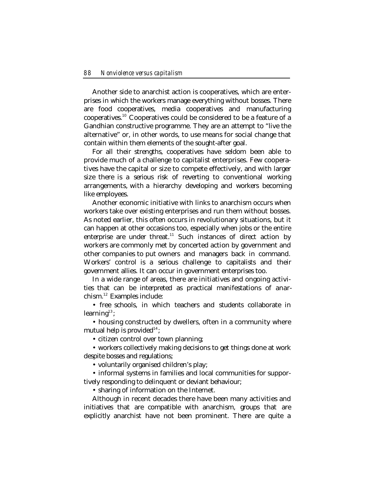Another side to anarchist action is cooperatives, which are enterprises in which the workers manage everything without bosses. There are food cooperatives, media cooperatives and manufacturing cooperatives.<sup>10</sup> Cooperatives could be considered to be a feature of a Gandhian constructive programme. They are an attempt to "live the alternative" or, in other words, to use means for social change that contain within them elements of the sought-after goal.

For all their strengths, cooperatives have seldom been able to provide much of a challenge to capitalist enterprises. Few cooperatives have the capital or size to compete effectively, and with larger size there is a serious risk of reverting to conventional working arrangements, with a hierarchy developing and workers becoming like employees.

Another economic initiative with links to anarchism occurs when workers take over existing enterprises and run them without bosses. As noted earlier, this often occurs in revolutionary situations, but it can happen at other occasions too, especially when jobs or the entire enterprise are under threat.<sup>11</sup> Such instances of direct action by workers are commonly met by concerted action by government and other companies to put owners and managers back in command. Workers' control is a serious challenge to capitalists and their government allies. It can occur in government enterprises too.

In a wide range of areas, there are initiatives and ongoing activities that can be interpreted as practical manifestations of anarchism.<sup>12</sup> Examples include:

• free schools, in which teachers and students collaborate in learning $^{13}$ ;

• housing constructed by dwellers, often in a community where mutual help is provided<sup>14</sup>;

• citizen control over town planning;

• workers collectively making decisions to get things done at work despite bosses and regulations;

• voluntarily organised children's play;

• informal systems in families and local communities for supportively responding to delinquent or deviant behaviour;

• sharing of information on the Internet.

Although in recent decades there have been many activities and initiatives that are compatible with anarchism, groups that are explicitly anarchist have not been prominent. There are quite a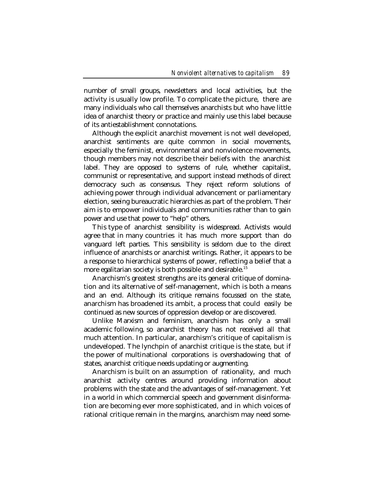number of small groups, newsletters and local activities, but the activity is usually low profile. To complicate the picture, there are many individuals who call themselves anarchists but who have little idea of anarchist theory or practice and mainly use this label because of its antiestablishment connotations.

Although the explicit anarchist movement is not well developed, anarchist sentiments are quite common in social movements, especially the feminist, environmental and nonviolence movements, though members may not describe their beliefs with the anarchist label. They are opposed to systems of rule, whether capitalist, communist or representative, and support instead methods of direct democracy such as consensus. They reject reform solutions of achieving power through individual advancement or parliamentary election, seeing bureaucratic hierarchies as part of the problem. Their aim is to empower individuals and communities rather than to gain power and use that power to "help" others.

This type of anarchist sensibility is widespread. Activists would agree that in many countries it has much more support than do vanguard left parties. This sensibility is seldom due to the direct influence of anarchists or anarchist writings. Rather, it appears to be a response to hierarchical systems of power, reflecting a belief that a more egalitarian society is both possible and desirable.<sup>15</sup>

Anarchism's greatest strengths are its general critique of domination and its alternative of self-management, which is both a means and an end. Although its critique remains focussed on the state, anarchism has broadened its ambit, a process that could easily be continued as new sources of oppression develop or are discovered.

Unlike Marxism and feminism, anarchism has only a small academic following, so anarchist theory has not received all that much attention. In particular, anarchism's critique of capitalism is undeveloped. The lynchpin of anarchist critique is the state, but if the power of multinational corporations is overshadowing that of states, anarchist critique needs updating or augmenting.

Anarchism is built on an assumption of rationality, and much anarchist activity centres around providing information about problems with the state and the advantages of self-management. Yet in a world in which commercial speech and government disinformation are becoming ever more sophisticated, and in which voices of rational critique remain in the margins, anarchism may need some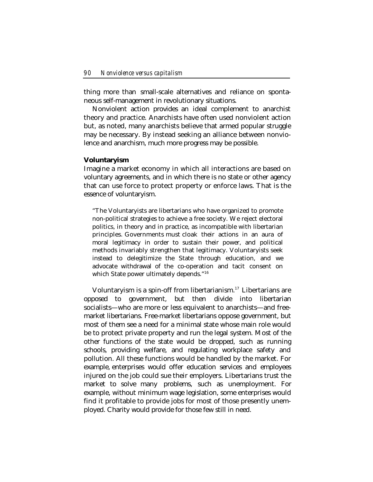thing more than small-scale alternatives and reliance on spontaneous self-management in revolutionary situations.

Nonviolent action provides an ideal complement to anarchist theory and practice. Anarchists have often used nonviolent action but, as noted, many anarchists believe that armed popular struggle may be necessary. By instead seeking an alliance between nonviolence and anarchism, much more progress may be possible.

#### **Voluntaryism**

Imagine a market economy in which all interactions are based on voluntary agreements, and in which there is no state or other agency that can use force to protect property or enforce laws. That is the essence of voluntaryism.

"The Voluntaryists are libertarians who have organized to promote non-political strategies to achieve a free society. We reject electoral politics, in theory and in practice, as incompatible with libertarian principles. Governments must cloak their actions in an aura of moral legitimacy in order to sustain their power, and political methods invariably strengthen that legitimacy. Voluntaryists seek instead to delegitimize the State through education, and we advocate withdrawal of the co-operation and tacit consent on which State power ultimately depends."<sup>16</sup>

Voluntaryism is a spin-off from libertarianism.<sup>17</sup> Libertarians are opposed to government, but then divide into libertarian socialists—who are more or less equivalent to anarchists—and freemarket libertarians. Free-market libertarians oppose government, but most of them see a need for a minimal state whose main role would be to protect private property and run the legal system. Most of the other functions of the state would be dropped, such as running schools, providing welfare, and regulating workplace safety and pollution. All these functions would be handled by the market. For example, enterprises would offer education services and employees injured on the job could sue their employers. Libertarians trust the market to solve many problems, such as unemployment. For example, without minimum wage legislation, some enterprises would find it profitable to provide jobs for most of those presently unemployed. Charity would provide for those few still in need.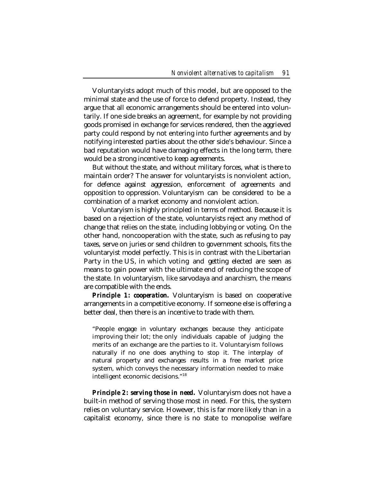Voluntaryists adopt much of this model, but are opposed to the minimal state and the use of force to defend property. Instead, they argue that all economic arrangements should be entered into voluntarily. If one side breaks an agreement, for example by not providing goods promised in exchange for services rendered, then the aggrieved party could respond by not entering into further agreements and by notifying interested parties about the other side's behaviour. Since a bad reputation would have damaging effects in the long term, there would be a strong incentive to keep agreements.

But without the state, and without military forces, what is there to maintain order? The answer for voluntaryists is nonviolent action, for defence against aggression, enforcement of agreements and opposition to oppression. Voluntaryism can be considered to be a combination of a market economy and nonviolent action.

Voluntaryism is highly principled in terms of method. Because it is based on a rejection of the state, voluntaryists reject any method of change that relies on the state, including lobbying or voting. On the other hand, noncooperation with the state, such as refusing to pay taxes, serve on juries or send children to government schools, fits the voluntaryist model perfectly. This is in contrast with the Libertarian Party in the US, in which voting and getting elected are seen as means to gain power with the ultimate end of reducing the scope of the state. In voluntaryism, like sarvodaya and anarchism, the means are compatible with the ends.

*Principle 1: cooperation.* Voluntaryism is based on cooperative arrangements in a competitive economy. If someone else is offering a better deal, then there is an incentive to trade with them.

"People engage in voluntary exchanges because they anticipate improving their lot; the only individuals capable of judging the merits of an exchange are the parties to it. Voluntaryism follows naturally if no one does anything to stop it. The interplay of natural property and exchanges results in a free market price system, which conveys the necessary information needed to make intelligent economic decisions."<sup>18</sup>

*Principle 2: serving those in need.* Voluntaryism does not have a built-in method of serving those most in need. For this, the system relies on voluntary service. However, this is far more likely than in a capitalist economy, since there is no state to monopolise welfare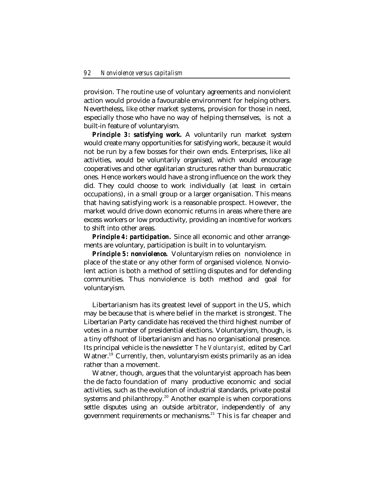provision. The routine use of voluntary agreements and nonviolent action would provide a favourable environment for helping others. Nevertheless, like other market systems, provision for those in need, especially those who have no way of helping themselves, is not a built-in feature of voluntaryism.

*Principle 3: satisfying work.* A voluntarily run market system would create many opportunities for satisfying work, because it would not be run by a few bosses for their own ends. Enterprises, like all activities, would be voluntarily organised, which would encourage cooperatives and other egalitarian structures rather than bureaucratic ones. Hence workers would have a strong influence on the work they did. They could choose to work individually (at least in certain occupations), in a small group or a larger organisation. This means that having satisfying work is a reasonable prospect. However, the market would drive down economic returns in areas where there are excess workers or low productivity, providing an incentive for workers to shift into other areas.

*Principle 4: participation.* Since all economic and other arrangements are voluntary, participation is built in to voluntaryism.

*Principle 5: nonviolence.* Voluntaryism relies on nonviolence in place of the state or any other form of organised violence. Nonviolent action is both a method of settling disputes and for defending communities. Thus nonviolence is both method and goal for voluntaryism.

Libertarianism has its greatest level of support in the US, which may be because that is where belief in the market is strongest. The Libertarian Party candidate has received the third highest number of votes in a number of presidential elections. Voluntaryism, though, is a tiny offshoot of libertarianism and has no organisational presence. Its principal vehicle is the newsletter *The Voluntaryist,* edited by Carl Watner.<sup>19</sup> Currently, then, voluntaryism exists primarily as an idea rather than a movement.

Watner, though, argues that the voluntaryist approach has been the de facto foundation of many productive economic and social activities, such as the evolution of industrial standards, private postal systems and philanthropy.<sup>20</sup> Another example is when corporations settle disputes using an outside arbitrator, independently of any government requirements or mechanisms.<sup>21</sup> This is far cheaper and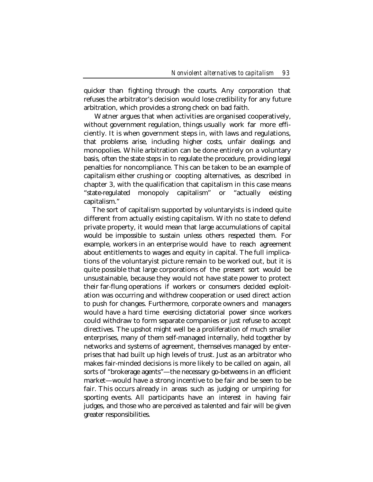quicker than fighting through the courts. Any corporation that refuses the arbitrator's decision would lose credibility for any future arbitration, which provides a strong check on bad faith.

 Watner argues that when activities are organised cooperatively, without government regulation, things usually work far more efficiently. It is when government steps in, with laws and regulations, that problems arise, including higher costs, unfair dealings and monopolies. While arbitration can be done entirely on a voluntary basis, often the state steps in to regulate the procedure, providing legal penalties for noncompliance. This can be taken to be an example of capitalism either crushing or coopting alternatives, as described in chapter 3, with the qualification that capitalism in this case means "state-regulated monopoly capitalism" or "actually existing capitalism."

The sort of capitalism supported by voluntaryists is indeed quite different from actually existing capitalism. With no state to defend private property, it would mean that large accumulations of capital would be impossible to sustain unless others respected them. For example, workers in an enterprise would have to reach agreement about entitlements to wages and equity in capital. The full implications of the voluntaryist picture remain to be worked out, but it is quite possible that large corporations of the present sort would be unsustainable, because they would not have state power to protect their far-flung operations if workers or consumers decided exploitation was occurring and withdrew cooperation or used direct action to push for changes. Furthermore, corporate owners and managers would have a hard time exercising dictatorial power since workers could withdraw to form separate companies or just refuse to accept directives. The upshot might well be a proliferation of much smaller enterprises, many of them self-managed internally, held together by networks and systems of agreement, themselves managed by enterprises that had built up high levels of trust. Just as an arbitrator who makes fair-minded decisions is more likely to be called on again, all sorts of "brokerage agents"—the necessary go-betweens in an efficient market—would have a strong incentive to be fair and be seen to be fair. This occurs already in areas such as judging or umpiring for sporting events. All participants have an interest in having fair judges, and those who are perceived as talented and fair will be given greater responsibilities.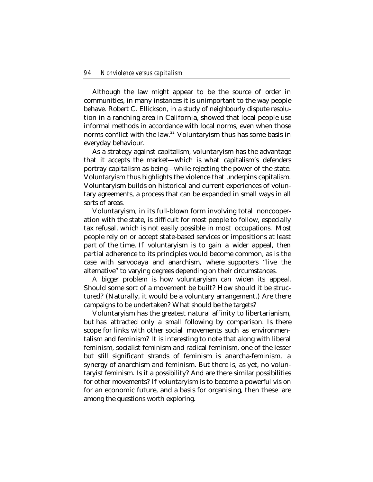Although the law might appear to be the source of order in communities, in many instances it is unimportant to the way people behave. Robert C. Ellickson, in a study of neighbourly dispute resolution in a ranching area in California, showed that local people use informal methods in accordance with local norms, even when those norms conflict with the law.<sup>22</sup> Voluntaryism thus has some basis in everyday behaviour.

As a strategy against capitalism, voluntaryism has the advantage that it accepts the market—which is what capitalism's defenders portray capitalism as being—while rejecting the power of the state. Voluntaryism thus highlights the violence that underpins capitalism. Voluntaryism builds on historical and current experiences of voluntary agreements, a process that can be expanded in small ways in all sorts of areas.

Voluntaryism, in its full-blown form involving total noncooperation with the state, is difficult for most people to follow, especially tax refusal, which is not easily possible in most occupations. Most people rely on or accept state-based services or impositions at least part of the time. If voluntaryism is to gain a wider appeal, then partial adherence to its principles would become common, as is the case with sarvodaya and anarchism, where supporters "live the alternative" to varying degrees depending on their circumstances.

A bigger problem is how voluntaryism can widen its appeal. Should some sort of a movement be built? How should it be structured? (Naturally, it would be a voluntary arrangement.) Are there campaigns to be undertaken? What should be the targets?

Voluntaryism has the greatest natural affinity to libertarianism, but has attracted only a small following by comparison. Is there scope for links with other social movements such as environmentalism and feminism? It is interesting to note that along with liberal feminism, socialist feminism and radical feminism, one of the lesser but still significant strands of feminism is anarcha-feminism, a synergy of anarchism and feminism. But there is, as yet, no voluntaryist feminism. Is it a possibility? And are there similar possibilities for other movements? If voluntaryism is to become a powerful vision for an economic future, and a basis for organising, then these are among the questions worth exploring.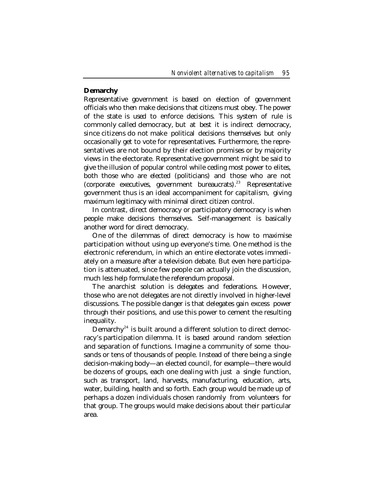# **Demarchy**

Representative government is based on election of government officials who then make decisions that citizens must obey. The power of the state is used to enforce decisions. This system of rule is commonly called democracy, but at best it is indirect democracy, since citizens do not make political decisions themselves but only occasionally get to vote for representatives. Furthermore, the representatives are not bound by their election promises or by majority views in the electorate. Representative government might be said to give the illusion of popular control while ceding most power to elites, both those who are elected (politicians) and those who are not  $($ corporate executives, government bureaucrats). $^{23}$  Representative government thus is an ideal accompaniment for capitalism, giving maximum legitimacy with minimal direct citizen control.

In contrast, direct democracy or participatory democracy is when people make decisions themselves. Self-management is basically another word for direct democracy.

One of the dilemmas of direct democracy is how to maximise participation without using up everyone's time. One method is the electronic referendum, in which an entire electorate votes immediately on a measure after a television debate. But even here participation is attenuated, since few people can actually join the discussion, much less help formulate the referendum proposal.

The anarchist solution is delegates and federations. However, those who are not delegates are not directly involved in higher-level discussions. The possible danger is that delegates gain excess power through their positions, and use this power to cement the resulting inequality.

Demarchy<sup>24</sup> is built around a different solution to direct democracy's participation dilemma. It is based around random selection and separation of functions. Imagine a community of some thousands or tens of thousands of people. Instead of there being a single decision-making body—an elected council, for example—there would be dozens of groups, each one dealing with just a single function, such as transport, land, harvests, manufacturing, education, arts, water, building, health and so forth. Each group would be made up of perhaps a dozen individuals chosen randomly from volunteers for that group. The groups would make decisions about their particular area.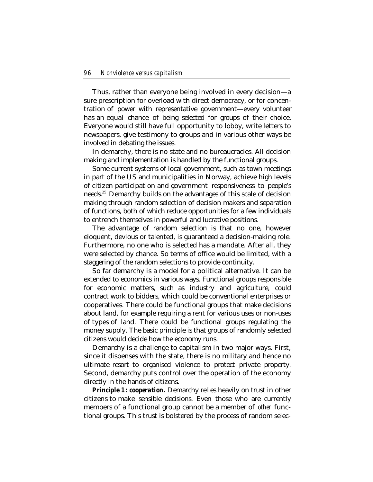Thus, rather than everyone being involved in every decision—a sure prescription for overload with direct democracy, or for concentration of power with representative government—every volunteer has an equal chance of being selected for groups of their choice. Everyone would still have full opportunity to lobby, write letters to newspapers, give testimony to groups and in various other ways be involved in debating the issues.

In demarchy, there is no state and no bureaucracies. All decision making and implementation is handled by the functional groups.

Some current systems of local government, such as town meetings in part of the US and municipalities in Norway, achieve high levels of citizen participation and government responsiveness to people's needs.<sup>25</sup> Demarchy builds on the advantages of this scale of decision making through random selection of decision makers and separation of functions, both of which reduce opportunities for a few individuals to entrench themselves in powerful and lucrative positions.

The advantage of random selection is that no one, however eloquent, devious or talented, is guaranteed a decision-making role. Furthermore, no one who is selected has a mandate. After all, they were selected by chance. So terms of office would be limited, with a staggering of the random selections to provide continuity.

So far demarchy is a model for a political alternative. It can be extended to economics in various ways. Functional groups responsible for economic matters, such as industry and agriculture, could contract work to bidders, which could be conventional enterprises or cooperatives. There could be functional groups that make decisions about land, for example requiring a rent for various uses or non-uses of types of land. There could be functional groups regulating the money supply. The basic principle is that groups of randomly selected citizens would decide how the economy runs.

Demarchy is a challenge to capitalism in two major ways. First, since it dispenses with the state, there is no military and hence no ultimate resort to organised violence to protect private property. Second, demarchy puts control over the operation of the economy directly in the hands of citizens.

*Principle 1: cooperation.* Demarchy relies heavily on trust in other citizens to make sensible decisions. Even those who are currently members of a functional group cannot be a member of *other* functional groups. This trust is bolstered by the process of random selec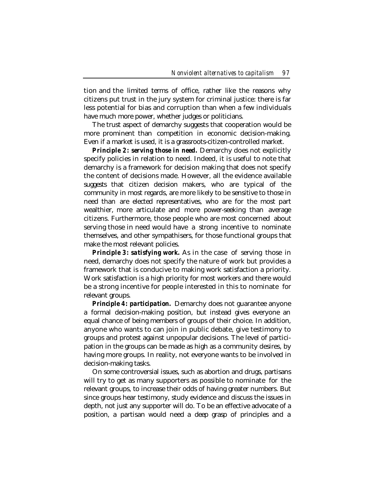tion and the limited terms of office, rather like the reasons why citizens put trust in the jury system for criminal justice: there is far less potential for bias and corruption than when a few individuals have much more power, whether judges or politicians.

The trust aspect of demarchy suggests that cooperation would be more prominent than competition in economic decision-making. Even if a market is used, it is a grassroots-citizen-controlled market.

*Principle 2: serving those in need.* Demarchy does not explicitly specify policies in relation to need. Indeed, it is useful to note that demarchy is a framework for decision making that does not specify the content of decisions made. However, all the evidence available suggests that citizen decision makers, who are typical of the community in most regards, are more likely to be sensitive to those in need than are elected representatives, who are for the most part wealthier, more articulate and more power-seeking than average citizens. Furthermore, those people who are most concerned about serving those in need would have a strong incentive to nominate themselves, and other sympathisers, for those functional groups that make the most relevant policies.

**Principle 3: satisfying work.** As in the case of serving those in need, demarchy does not specify the nature of work but provides a framework that is conducive to making work satisfaction a priority. Work satisfaction is a high priority for most workers and there would be a strong incentive for people interested in this to nominate for relevant groups.

*Principle 4: participation.* Demarchy does not guarantee anyone a formal decision-making position, but instead gives everyone an equal chance of being members of groups of their choice. In addition, anyone who wants to can join in public debate, give testimony to groups and protest against unpopular decisions. The level of participation in the groups can be made as high as a community desires, by having more groups. In reality, not everyone wants to be involved in decision-making tasks.

On some controversial issues, such as abortion and drugs, partisans will try to get as many supporters as possible to nominate for the relevant groups, to increase their odds of having greater numbers. But since groups hear testimony, study evidence and discuss the issues in depth, not just any supporter will do. To be an effective advocate of a position, a partisan would need a deep grasp of principles and a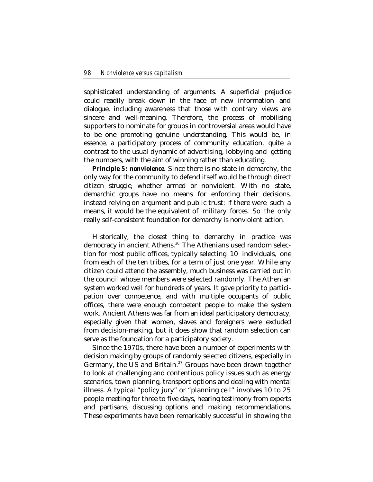sophisticated understanding of arguments. A superficial prejudice could readily break down in the face of new information and dialogue, including awareness that those with contrary views are sincere and well-meaning. Therefore, the process of mobilising supporters to nominate for groups in controversial areas would have to be one promoting genuine understanding. This would be, in essence, a participatory process of community education, quite a contrast to the usual dynamic of advertising, lobbying and getting the numbers, with the aim of winning rather than educating.

*Principle 5: nonviolence.* Since there is no state in demarchy, the only way for the community to defend itself would be through direct citizen struggle, whether armed or nonviolent. With no state, demarchic groups have no means for enforcing their decisions, instead relying on argument and public trust: if there were such a means, it would be the equivalent of military forces. So the only really self-consistent foundation for demarchy is nonviolent action.

Historically, the closest thing to demarchy in practice was democracy in ancient Athens.<sup>26</sup> The Athenians used random selection for most public offices, typically selecting 10 individuals, one from each of the ten tribes, for a term of just one year. While any citizen could attend the assembly, much business was carried out in the council whose members were selected randomly. The Athenian system worked well for hundreds of years. It gave priority to participation over competence, and with multiple occupants of public offices, there were enough competent people to make the system work. Ancient Athens was far from an ideal participatory democracy, especially given that women, slaves and foreigners were excluded from decision-making, but it does show that random selection can serve as the foundation for a participatory society.

Since the 1970s, there have been a number of experiments with decision making by groups of randomly selected citizens, especially in Germany, the US and Britain.<sup>27</sup> Groups have been drawn together to look at challenging and contentious policy issues such as energy scenarios, town planning, transport options and dealing with mental illness. A typical "policy jury" or "planning cell" involves 10 to 25 people meeting for three to five days, hearing testimony from experts and partisans, discussing options and making recommendations. These experiments have been remarkably successful in showing the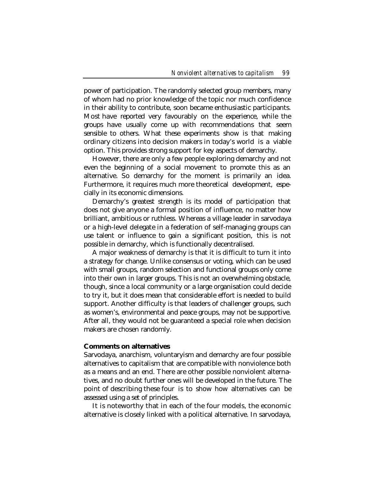power of participation. The randomly selected group members, many of whom had no prior knowledge of the topic nor much confidence in their ability to contribute, soon became enthusiastic participants. Most have reported very favourably on the experience, while the groups have usually come up with recommendations that seem sensible to others. What these experiments show is that making ordinary citizens into decision makers in today's world is a viable option. This provides strong support for key aspects of demarchy.

However, there are only a few people exploring demarchy and not even the beginning of a social movement to promote this as an alternative. So demarchy for the moment is primarily an idea. Furthermore, it requires much more theoretical development, especially in its economic dimensions.

Demarchy's greatest strength is its model of participation that does not give anyone a formal position of influence, no matter how brilliant, ambitious or ruthless. Whereas a village leader in sarvodaya or a high-level delegate in a federation of self-managing groups can use talent or influence to gain a significant position, this is not possible in demarchy, which is functionally decentralised.

A major weakness of demarchy is that it is difficult to turn it into a strategy for change. Unlike consensus or voting, which can be used with small groups, random selection and functional groups only come into their own in larger groups. This is not an overwhelming obstacle, though, since a local community or a large organisation could decide to try it, but it does mean that considerable effort is needed to build support. Another difficulty is that leaders of challenger groups, such as women's, environmental and peace groups, may not be supportive. After all, they would not be guaranteed a special role when decision makers are chosen randomly.

# **Comments on alternatives**

Sarvodaya, anarchism, voluntaryism and demarchy are four possible alternatives to capitalism that are compatible with nonviolence both as a means and an end. There are other possible nonviolent alternatives, and no doubt further ones will be developed in the future. The point of describing these four is to show how alternatives can be assessed using a set of principles.

It is noteworthy that in each of the four models, the economic alternative is closely linked with a political alternative. In sarvodaya,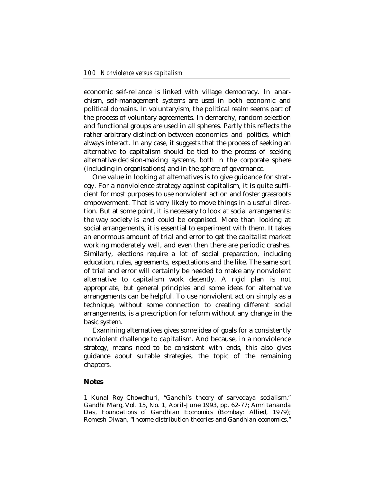economic self-reliance is linked with village democracy. In anarchism, self-management systems are used in both economic and political domains. In voluntaryism, the political realm seems part of the process of voluntary agreements. In demarchy, random selection and functional groups are used in all spheres. Partly this reflects the rather arbitrary distinction between economics and politics, which always interact. In any case, it suggests that the process of seeking an alternative to capitalism should be tied to the process of seeking alternative decision-making systems, both in the corporate sphere (including in organisations) and in the sphere of governance.

One value in looking at alternatives is to give guidance for strategy. For a nonviolence strategy against capitalism, it is quite sufficient for most purposes to use nonviolent action and foster grassroots empowerment. That is very likely to move things in a useful direction. But at some point, it is necessary to look at social arrangements: the way society is and could be organised. More than looking at social arrangements, it is essential to experiment with them. It takes an enormous amount of trial and error to get the capitalist market working moderately well, and even then there are periodic crashes. Similarly, elections require a lot of social preparation, including education, rules, agreements, expectations and the like. The same sort of trial and error will certainly be needed to make any nonviolent alternative to capitalism work decently. A rigid plan is not appropriate, but general principles and some ideas for alternative arrangements can be helpful. To use nonviolent action simply as a technique, without some connection to creating different social arrangements, is a prescription for reform without any change in the basic system.

Examining alternatives gives some idea of goals for a consistently nonviolent challenge to capitalism. And because, in a nonviolence strategy, means need to be consistent with ends, this also gives guidance about suitable strategies, the topic of the remaining chapters.

## **Notes**

1 Kunal Roy Chowdhuri, "Gandhi's theory of sarvodaya socialism," *Gandhi Marg,* Vol. 15, No. 1, April-June 1993, pp. 62-77; Amritananda Das, *Foundations of Gandhian Economics* (Bombay: Allied, 1979); Romesh Diwan, "Income distribution theories and Gandhian economics,"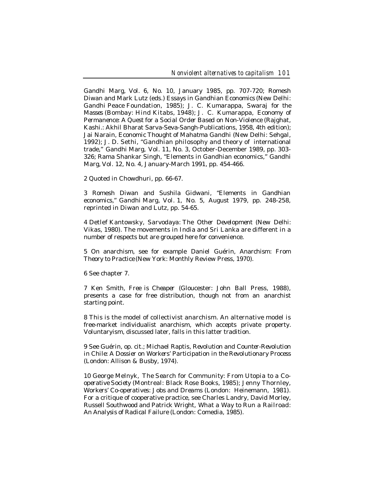*Gandhi Marg,* Vol. 6, No. 10, January 1985, pp. 707-720; Romesh Diwan and Mark Lutz (eds.) *Essays in Gandhian Economics* (New Delhi: Gandhi Peace Foundation, 1985); J. C. Kumarappa, *Swaraj for the Masses* (Bombay: Hind Kitabs, 1948); J. C. Kumarappa, *Economy of Permanence: A Quest for a Social Order Based on Non-Violence* (Rajghat, Kashi.: Akhil Bharat Sarva-Seva-Sangh-Publications, 1958, 4th edition); Jai Narain, *Economic Thought of Mahatma Gandhi* (New Delhi: Sehgal, 1992); J. D. Sethi, "Gandhian philosophy and theory of international trade," *Gandhi Marg,* Vol. 11, No. 3, October-December 1989, pp. 303- 326; Rama Shankar Singh, "Elements in Gandhian economics," *Gandhi Marg,* Vol. 12, No. 4, January-March 1991, pp. 454-466.

2 Quoted in Chowdhuri, pp. 66-67.

3 Romesh Diwan and Sushila Gidwani, "Elements in Gandhian economics," *Gandhi Marg,* Vol. 1, No. 5, August 1979, pp. 248-258, reprinted in Diwan and Lutz, pp. 54-65.

4 Detlef Kantowsky, *Sarvodaya: The Other Development* (New Delhi: Vikas, 1980). The movements in India and Sri Lanka are different in a number of respects but are grouped here for convenience.

5 On anarchism, see for example Daniel Guérin, *Anarchism: From Theory to Practice* (New York: Monthly Review Press, 1970).

6 See chapter 7.

7 Ken Smith, *Free is Cheaper* (Gloucester: John Ball Press, 1988), presents a case for free distribution, though not from an anarchist starting point.

8 This is the model of collectivist anarchism. An alternative model is free-market individualist anarchism, which accepts private property. Voluntaryism, discussed later, falls in this latter tradition.

9 See Guérin, op. cit.; Michael Raptis, *Revolution and Counter-Revolution in Chile: A Dossier on Workers' Participation in the Revolutionary Process* (London: Allison & Busby, 1974).

10 George Melnyk, *The Search for Community: From Utopia to a Cooperative Society* (Montreal: Black Rose Books, 1985); Jenny Thornley, *Workers' Co-operatives: Jobs and Dreams* (London: Heinemann, 1981). For a critique of cooperative practice, see Charles Landry, David Morley, Russell Southwood and Patrick Wright, *What a Way to Run a Railroad: An Analysis of Radical Failure* (London: Comedia, 1985).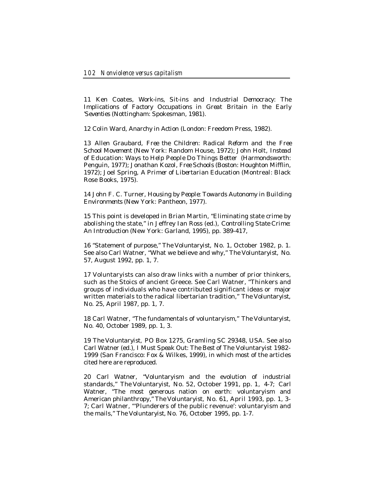11 Ken Coates, *Work-ins, Sit-ins and Industrial Democracy: The Implications of Factory Occupations in Great Britain in the Early 'Seventies* (Nottingham: Spokesman, 1981).

12 Colin Ward, *Anarchy in Action* (London: Freedom Press, 1982).

13 Allen Graubard, *Free the Children: Radical Reform and the Free School Movement* (New York: Random House, 1972); John Holt, *Instead of Education: Ways to Help People Do Things Better* (Harmondsworth: Penguin, 1977); Jonathan Kozol, *Free Schools* (Boston: Houghton Mifflin, 1972); Joel Spring, *A Primer of Libertarian Education* (Montreal: Black Rose Books, 1975).

14 John F. C. Turner, *Housing by People: Towards Autonomy in Building Environments* (New York: Pantheon, 1977).

15 This point is developed in Brian Martin, "Eliminating state crime by abolishing the state," in Jeffrey Ian Ross (ed.), *Controlling State Crime: An Introduction* (New York: Garland, 1995), pp. 389-417,

16 "Statement of purpose," *The Voluntaryist,* No. 1, October 1982, p. 1. See also Carl Watner, "What we believe and why," *The Voluntaryist,* No. 57, August 1992, pp. 1, 7.

17 Voluntaryists can also draw links with a number of prior thinkers, such as the Stoics of ancient Greece. See Carl Watner, "Thinkers and groups of individuals who have contributed significant ideas or major written materials to the radical libertarian tradition," *The Voluntaryist,* No. 25, April 1987, pp. 1, 7.

18 Carl Watner, "The fundamentals of voluntaryism," *The Voluntaryist,* No. 40, October 1989, pp. 1, 3.

19 *The Voluntaryist,* PO Box 1275, Gramling SC 29348, USA. See also Carl Watner (ed.), *I Must Speak Out: The Best of* The Voluntaryist *1982- 1999* (San Francisco: Fox & Wilkes, 1999), in which most of the articles cited here are reproduced.

20 Carl Watner, "Voluntaryism and the evolution of industrial standards," *The Voluntaryist,* No. 52, October 1991, pp. 1, 4-7; Carl Watner, "The most generous nation on earth: voluntaryism and American philanthropy," *The Voluntaryist,* No. 61, April 1993, pp. 1, 3- 7; Carl Watner, "'Plunderers of the public revenue': voluntaryism and the mails," *The Voluntaryist,* No. 76, October 1995, pp. 1-7.